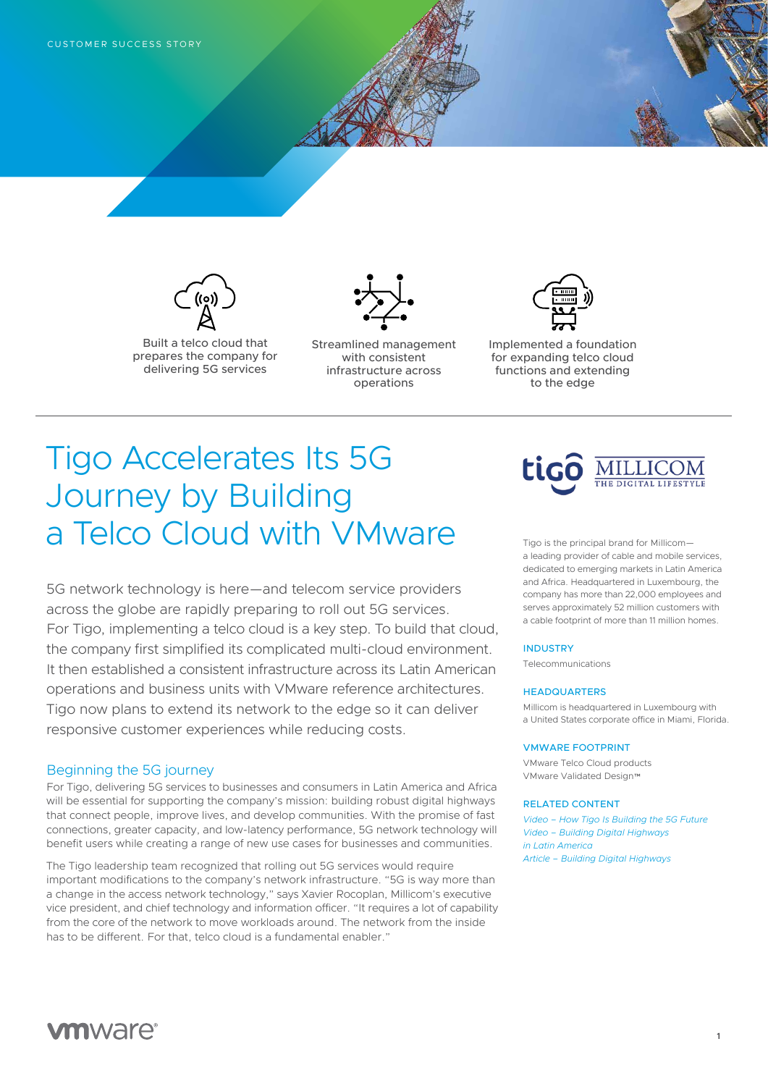

Built a telco cloud that prepares the company for delivering 5G services



Streamlined management with consistent infrastructure across operations



Implemented a foundation for expanding telco cloud functions and extending to the edge

# Tigo Accelerates Its 5G Journey by Building a Telco Cloud with VMware

5G network technology is here—and telecom service providers across the globe are rapidly preparing to roll out 5G services. For Tigo, implementing a telco cloud is a key step. To build that cloud, the company first simplified its complicated multi-cloud environment. It then established a consistent infrastructure across its Latin American operations and business units with VMware reference architectures. Tigo now plans to extend its network to the edge so it can deliver responsive customer experiences while reducing costs.

## Beginning the 5G journey

For Tigo, delivering 5G services to businesses and consumers in Latin America and Africa will be essential for supporting the company's mission: building robust digital highways that connect people, improve lives, and develop communities. With the promise of fast connections, greater capacity, and low-latency performance, 5G network technology will benefit users while creating a range of new use cases for businesses and communities.

The Tigo leadership team recognized that rolling out 5G services would require important modifications to the company's network infrastructure. "5G is way more than a change in the access network technology," says Xavier Rocoplan, Millicom's executive vice president, and chief technology and information officer. "It requires a lot of capability from the core of the network to move workloads around. The network from the inside has to be different. For that, telco cloud is a fundamental enabler."



Tigo is the principal brand for Millicom a leading provider of cable and mobile services, dedicated to emerging markets in Latin America and Africa. Headquartered in Luxembourg, the company has more than 22,000 employees and serves approximately 52 million customers with a cable footprint of more than 11 million homes.

### INDUSTRY

Telecommunications

#### **HEADQUARTERS**

Millicom is headquartered in Luxembourg with a United States corporate office in Miami, Florida.

#### VMWARE FOOTPRINT

VMware Telco Cloud products VMware Validated Design™

#### RELATED CONTENT

*[Video – How Tigo Is Building the 5G Future](https://youtu.be/tjfXTX-d1IU) [Video – Building Digital Highways](https://youtu.be/bM3gCtWY3i8)  [in Latin America](https://youtu.be/bM3gCtWY3i8) [Article – Building Digital Highways](https://www.vmware.com/radius/impact/tigo-building-digital-highways/)*

## **vm**ware<sup>®</sup>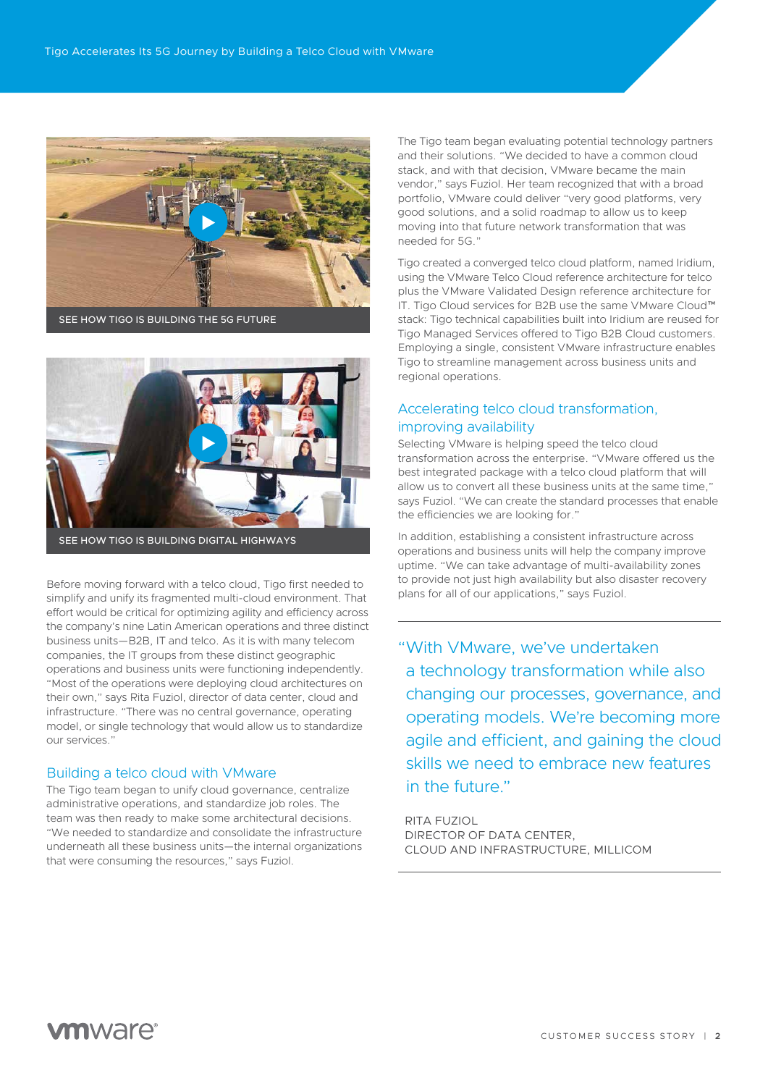

SEE HOW TIGO IS BUILDING THE 5G FUTURE



SEE HOW TIGO IS BUILDING DIGITAL HIGHWAYS

Before moving forward with a telco cloud, Tigo first needed to the provide not just high availability but also diversify and unify its fragmented multi-cloud opyrroment. That plans for all of our applications," says Fuziol simplify and unify its fragmented multi-cloud environment. That effort would be critical for optimizing agility and efficiency across the company's nine Latin American operations and three distinct business units—B2B, IT and telco. As it is with many telecom companies, the IT groups from these distinct geographic operations and business units were functioning independently. "Most of the operations were deploying cloud architectures on their own," says Rita Fuziol, director of data center, cloud and infrastructure. "There was no central governance, operating model, or single technology that would allow us to standardize our services."

## Building a telco cloud with VMware

The Tigo team began to unify cloud governance, centralize administrative operations, and standardize job roles. The team was then ready to make some architectural decisions. "We needed to standardize and consolidate the infrastructure underneath all these business units—the internal organizations that were consuming the resources," says Fuziol.

The Tigo team began evaluating potential technology partners and their solutions. "We decided to have a common cloud stack, and with that decision, VMware became the main vendor," says Fuziol. Her team recognized that with a broad portfolio, VMware could deliver "very good platforms, very good solutions, and a solid roadmap to allow us to keep moving into that future network transformation that was needed for 5G."

Tigo created a converged telco cloud platform, named Iridium, using the VMware Telco Cloud reference architecture for telco plus the VMware Validated Design reference architecture for IT. Tigo Cloud services for B2B use the same VMware Cloud™ stack: Tigo technical capabilities built into Iridium are reused for Tigo Managed Services offered to Tigo B2B Cloud customers. Employing a single, consistent VMware infrastructure enables Tigo to streamline management across business units and regional operations.

## Accelerating telco cloud transformation, improving availability

Selecting VMware is helping speed the telco cloud transformation across the enterprise. "VMware offered us the best integrated package with a telco cloud platform that will allow us to convert all these business units at the same time," says Fuziol. "We can create the standard processes that enable the efficiencies we are looking for."

In addition, establishing a consistent infrastructure across operations and business units will help the company improve uptime. "We can take advantage of multi-availability zones to provide not just high availability but also disaster recovery

"With VMware, we've undertaken a technology transformation while also changing our processes, governance, and operating models. We're becoming more agile and efficient, and gaining the cloud skills we need to embrace new features in the future."

RITA FUZIOL DIRECTOR OF DATA CENTER, CLOUD AND INFRASTRUCTURE, MILLICOM